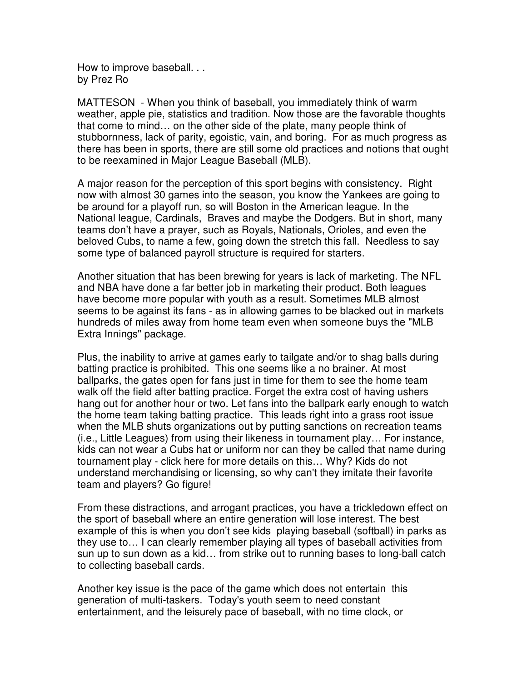How to improve baseball. . . by Prez Ro

MATTESON - When you think of baseball, you immediately think of warm weather, apple pie, statistics and tradition. Now those are the favorable thoughts that come to mind… on the other side of the plate, many people think of stubbornness, lack of parity, egoistic, vain, and boring. For as much progress as there has been in sports, there are still some old practices and notions that ought to be reexamined in Major League Baseball (MLB).

A major reason for the perception of this sport begins with consistency. Right now with almost 30 games into the season, you know the Yankees are going to be around for a playoff run, so will Boston in the American league. In the National league, Cardinals, Braves and maybe the Dodgers. But in short, many teams don't have a prayer, such as Royals, Nationals, Orioles, and even the beloved Cubs, to name a few, going down the stretch this fall. Needless to say some type of balanced payroll structure is required for starters.

Another situation that has been brewing for years is lack of marketing. The NFL and NBA have done a far better job in marketing their product. Both leagues have become more popular with youth as a result. Sometimes MLB almost seems to be against its fans - as in allowing games to be blacked out in markets hundreds of miles away from home team even when someone buys the "MLB Extra Innings" package.

Plus, the inability to arrive at games early to tailgate and/or to shag balls during batting practice is prohibited. This one seems like a no brainer. At most ballparks, the gates open for fans just in time for them to see the home team walk off the field after batting practice. Forget the extra cost of having ushers hang out for another hour or two. Let fans into the ballpark early enough to watch the home team taking batting practice. This leads right into a grass root issue when the MLB shuts organizations out by putting sanctions on recreation teams (i.e., Little Leagues) from using their likeness in tournament play… For instance, kids can not wear a Cubs hat or uniform nor can they be called that name during tournament play - click here for more details on this… Why? Kids do not understand merchandising or licensing, so why can't they imitate their favorite team and players? Go figure!

From these distractions, and arrogant practices, you have a trickledown effect on the sport of baseball where an entire generation will lose interest. The best example of this is when you don't see kids playing baseball (softball) in parks as they use to… I can clearly remember playing all types of baseball activities from sun up to sun down as a kid… from strike out to running bases to long-ball catch to collecting baseball cards.

Another key issue is the pace of the game which does not entertain this generation of multi-taskers. Today's youth seem to need constant entertainment, and the leisurely pace of baseball, with no time clock, or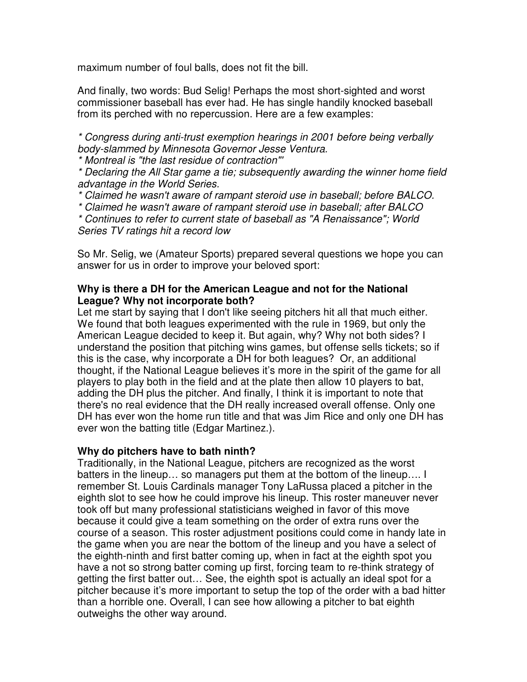maximum number of foul balls, does not fit the bill.

And finally, two words: Bud Selig! Perhaps the most short-sighted and worst commissioner baseball has ever had. He has single handily knocked baseball from its perched with no repercussion. Here are a few examples:

\* Congress during anti-trust exemption hearings in 2001 before being verbally body-slammed by Minnesota Governor Jesse Ventura.

\* Montreal is "the last residue of contraction"'

\* Declaring the All Star game a tie; subsequently awarding the winner home field advantage in the World Series.

\* Claimed he wasn't aware of rampant steroid use in baseball; before BALCO.

\* Claimed he wasn't aware of rampant steroid use in baseball; after BALCO

\* Continues to refer to current state of baseball as "A Renaissance"; World Series TV ratings hit a record low

So Mr. Selig, we (Amateur Sports) prepared several questions we hope you can answer for us in order to improve your beloved sport:

# **Why is there a DH for the American League and not for the National League? Why not incorporate both?**

Let me start by saying that I don't like seeing pitchers hit all that much either. We found that both leagues experimented with the rule in 1969, but only the American League decided to keep it. But again, why? Why not both sides? I understand the position that pitching wins games, but offense sells tickets; so if this is the case, why incorporate a DH for both leagues? Or, an additional thought, if the National League believes it's more in the spirit of the game for all players to play both in the field and at the plate then allow 10 players to bat, adding the DH plus the pitcher. And finally, I think it is important to note that there's no real evidence that the DH really increased overall offense. Only one DH has ever won the home run title and that was Jim Rice and only one DH has ever won the batting title (Edgar Martinez.).

# **Why do pitchers have to bath ninth?**

Traditionally, in the National League, pitchers are recognized as the worst batters in the lineup… so managers put them at the bottom of the lineup…. I remember St. Louis Cardinals manager Tony LaRussa placed a pitcher in the eighth slot to see how he could improve his lineup. This roster maneuver never took off but many professional statisticians weighed in favor of this move because it could give a team something on the order of extra runs over the course of a season. This roster adjustment positions could come in handy late in the game when you are near the bottom of the lineup and you have a select of the eighth-ninth and first batter coming up, when in fact at the eighth spot you have a not so strong batter coming up first, forcing team to re-think strategy of getting the first batter out… See, the eighth spot is actually an ideal spot for a pitcher because it's more important to setup the top of the order with a bad hitter than a horrible one. Overall, I can see how allowing a pitcher to bat eighth outweighs the other way around.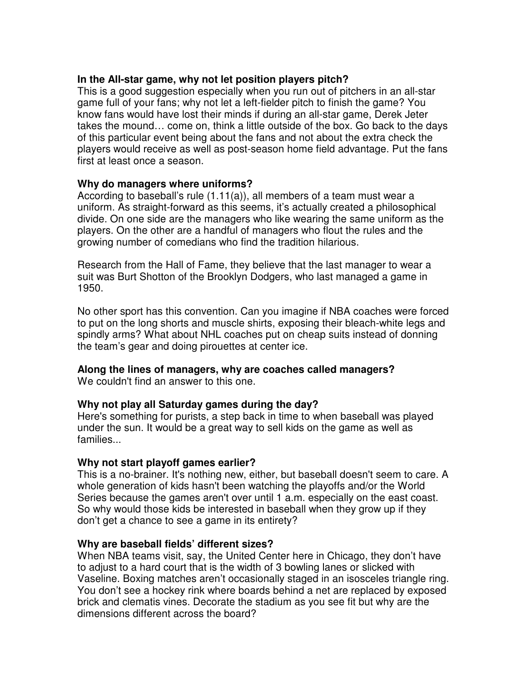# **In the All-star game, why not let position players pitch?**

This is a good suggestion especially when you run out of pitchers in an all-star game full of your fans; why not let a left-fielder pitch to finish the game? You know fans would have lost their minds if during an all-star game, Derek Jeter takes the mound… come on, think a little outside of the box. Go back to the days of this particular event being about the fans and not about the extra check the players would receive as well as post-season home field advantage. Put the fans first at least once a season.

### **Why do managers where uniforms?**

According to baseball's rule (1.11(a)), all members of a team must wear a uniform. As straight-forward as this seems, it's actually created a philosophical divide. On one side are the managers who like wearing the same uniform as the players. On the other are a handful of managers who flout the rules and the growing number of comedians who find the tradition hilarious.

Research from the Hall of Fame, they believe that the last manager to wear a suit was Burt Shotton of the Brooklyn Dodgers, who last managed a game in 1950.

No other sport has this convention. Can you imagine if NBA coaches were forced to put on the long shorts and muscle shirts, exposing their bleach-white legs and spindly arms? What about NHL coaches put on cheap suits instead of donning the team's gear and doing pirouettes at center ice.

# **Along the lines of managers, why are coaches called managers?**

We couldn't find an answer to this one.

#### **Why not play all Saturday games during the day?**

Here's something for purists, a step back in time to when baseball was played under the sun. It would be a great way to sell kids on the game as well as families...

#### **Why not start playoff games earlier?**

This is a no-brainer. It's nothing new, either, but baseball doesn't seem to care. A whole generation of kids hasn't been watching the playoffs and/or the World Series because the games aren't over until 1 a.m. especially on the east coast. So why would those kids be interested in baseball when they grow up if they don't get a chance to see a game in its entirety?

#### **Why are baseball fields' different sizes?**

When NBA teams visit, say, the United Center here in Chicago, they don't have to adjust to a hard court that is the width of 3 bowling lanes or slicked with Vaseline. Boxing matches aren't occasionally staged in an isosceles triangle ring. You don't see a hockey rink where boards behind a net are replaced by exposed brick and clematis vines. Decorate the stadium as you see fit but why are the dimensions different across the board?